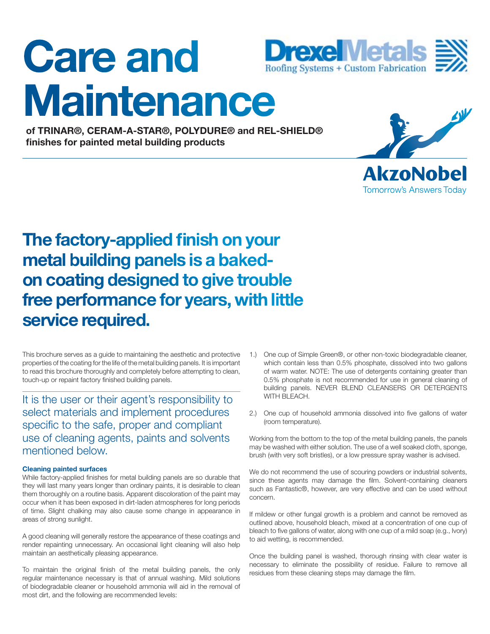# **Care and Maintenance**



**of TRINAR®, CERAM-A-STAR®, POLYDURE® and REL-SHIELD® fi nishes for painted metal building products**



**AkzoNobel Tomorrow's Answers Today** 

## **The factory-applied finish on your metal building panels is a bakedon coating designed to give trouble free performance for years, with little service required.**

This brochure serves as a guide to maintaining the aesthetic and protective properties of the coating for the life of the metal building panels. It is important to read this brochure thoroughly and completely before attempting to clean, touch-up or repaint factory finished building panels.

It is the user or their agent's responsibility to select materials and implement procedures specific to the safe, proper and compliant use of cleaning agents, paints and solvents mentioned below.

#### **Cleaning painted surfaces**

While factory-applied finishes for metal building panels are so durable that they will last many years longer than ordinary paints, it is desirable to clean them thoroughly on a routine basis. Apparent discoloration of the paint may occur when it has been exposed in dirt-laden atmospheres for long periods of time. Slight chalking may also cause some change in appearance in areas of strong sunlight.

A good cleaning will generally restore the appearance of these coatings and render repainting unnecessary. An occasional light cleaning will also help maintain an aesthetically pleasing appearance.

To maintain the original finish of the metal building panels, the only regular maintenance necessary is that of annual washing. Mild solutions of biodegradable cleaner or household ammonia will aid in the removal of most dirt, and the following are recommended levels:

- 1.) One cup of Simple Green®, or other non-toxic biodegradable cleaner, which contain less than 0.5% phosphate, dissolved into two gallons of warm water. NOTE: The use of detergents containing greater than 0.5% phosphate is not recommended for use in general cleaning of building panels. NEVER BLEND CLEANSERS OR DETERGENTS WITH BLEACH.
- 2.) One cup of household ammonia dissolved into five gallons of water (room temperature).

Working from the bottom to the top of the metal building panels, the panels may be washed with either solution. The use of a well soaked cloth, sponge, brush (with very soft bristles), or a low pressure spray washer is advised.

We do not recommend the use of scouring powders or industrial solvents, since these agents may damage the film. Solvent-containing cleaners such as Fantastic®, however, are very effective and can be used without concern.

If mildew or other fungal growth is a problem and cannot be removed as outlined above, household bleach, mixed at a concentration of one cup of bleach to five gallons of water, along with one cup of a mild soap (e.g., Ivory) to aid wetting, is recommended.

Once the building panel is washed, thorough rinsing with clear water is necessary to eliminate the possibility of residue. Failure to remove all residues from these cleaning steps may damage the film.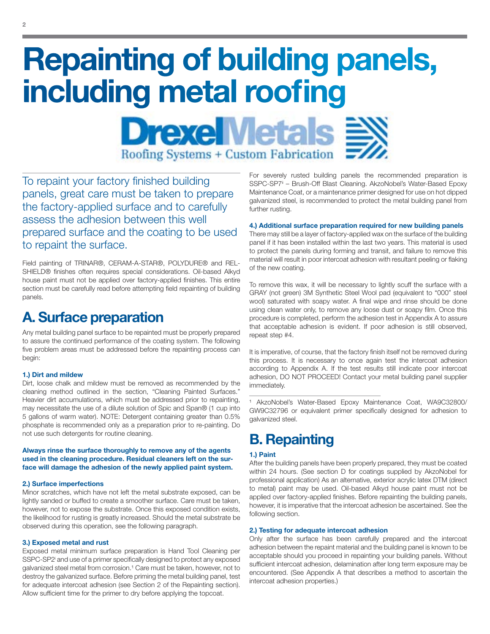## **Repainting of building panels,** including metal roofing

**DrexelMetals Roofing Systems + Custom Fabrication** 

To repaint your factory finished building panels, great care must be taken to prepare the factory-applied surface and to carefully assess the adhesion between this well prepared surface and the coating to be used to repaint the surface.

Field painting of TRINAR®, CERAM-A-STAR®, POLYDURE® and REL-SHIELD® finishes often requires special considerations. Oil-based Alkyd house paint must not be applied over factory-applied finishes. This entire section must be carefully read before attempting field repainting of building panels.

## **A. Surface preparation**

Any metal building panel surface to be repainted must be properly prepared to assure the continued performance of the coating system. The following five problem areas must be addressed before the repainting process can begin:

#### **1.) Dirt and mildew**

Dirt, loose chalk and mildew must be removed as recommended by the cleaning method outlined in the section, "Cleaning Painted Surfaces." Heavier dirt accumulations, which must be addressed prior to repainting, may necessitate the use of a dilute solution of Spic and Span® (1 cup into 5 gallons of warm water). NOTE: Detergent containing greater than 0.5% phosphate is recommended only as a preparation prior to re-painting. Do not use such detergents for routine cleaning.

**Always rinse the surface thoroughly to remove any of the agents used in the cleaning procedure. Residual cleaners left on the surface will damage the adhesion of the newly applied paint system.**

#### **2.) Surface imperfections**

Minor scratches, which have not left the metal substrate exposed, can be lightly sanded or buffed to create a smoother surface. Care must be taken, however, not to expose the substrate. Once this exposed condition exists, the likelihood for rusting is greatly increased. Should the metal substrate be observed during this operation, see the following paragraph.

#### **3.) Exposed metal and rust**

Exposed metal minimum surface preparation is Hand Tool Cleaning per SSPC-SP2<sup>i</sup> and use of a primer specifically designed to protect any exposed galvanized steel metal from corrosion.<sup>1</sup> Care must be taken, however, not to destroy the galvanized surface. Before priming the metal building panel, test for adequate intercoat adhesion (see Section 2 of the Repainting section). Allow sufficient time for the primer to dry before applying the topcoat.

For severely rusted building panels the recommended preparation is SSPC-SP7<sup>i</sup> - Brush-Off Blast Cleaning. AkzoNobel's Water-Based Epoxy Maintenance Coat, or a maintenance primer designed for use on hot dipped galvanized steel, is recommended to protect the metal building panel from further rusting.

#### **4.) Additional surface preparation required for new building panels**

There may still be a layer of factory-applied wax on the surface of the building panel if it has been installed within the last two years. This material is used to protect the panels during forming and transit, and failure to remove this material will result in poor intercoat adhesion with resultant peeling or flaking of the new coating.

To remove this wax, it will be necessary to lightly scuff the surface with a GRAY (not green) 3M Synthetic Steel Wool pad (equivalent to "000" steel wool) saturated with soapy water. A final wipe and rinse should be done using clean water only, to remove any loose dust or soapy film. Once this procedure is completed, perform the adhesion test in Appendix A to assure that acceptable adhesion is evident. If poor adhesion is still observed, repeat step #4.

It is imperative, of course, that the factory finish itself not be removed during this process. It is necessary to once again test the intercoat adhesion according to Appendix A. If the test results still indicate poor intercoat adhesion, DO NOT PROCEED! Contact your metal building panel supplier immediately.

<sup>1</sup> AkzoNobel's Water-Based Epoxy Maintenance Coat, WA9C32800/ GW9C32796 or equivalent primer specifically designed for adhesion to galvanized steel.

## **B. Repainting**

#### **1.) Paint**

After the building panels have been properly prepared, they must be coated within 24 hours. (See section D for coatings supplied by AkzoNobel for professional application) As an alternative, exterior acrylic latex DTM (direct to metal) paint may be used. Oil-based Alkyd house paint must not be applied over factory-applied finishes. Before repainting the building panels, however, it is imperative that the intercoat adhesion be ascertained. See the following section.

#### **2.) Testing for adequate intercoat adhesion**

Only after the surface has been carefully prepared and the intercoat adhesion between the repaint material and the building panel is known to be acceptable should you proceed in repainting your building panels. Without sufficient intercoat adhesion, delamination after long term exposure may be encountered. (See Appendix A that describes a method to ascertain the intercoat adhesion properties.)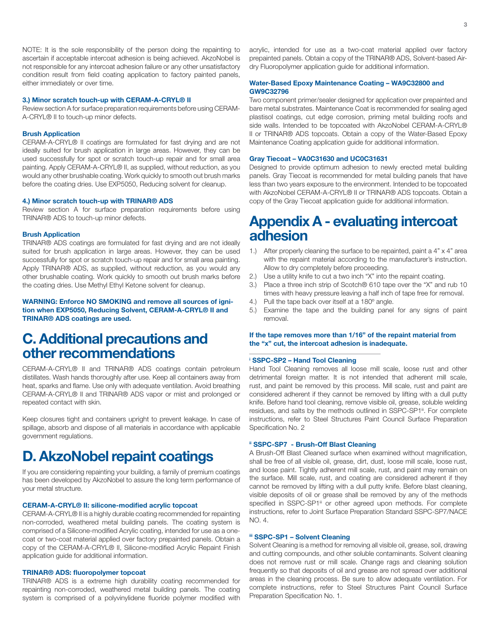NOTE: It is the sole responsibility of the person doing the repainting to ascertain if acceptable intercoat adhesion is being achieved. AkzoNobel is not responsible for any intercoat adhesion failure or any other unsatisfactory condition result from field coating application to factory painted panels, either immediately or over time.

#### **3.) Minor scratch touch-up with CERAM-A-CRYL® II**

Review section A for surface preparation requirements before using CERAM-A-CRYL® II to touch-up minor defects.

#### **Brush Application**

CERAM-A-CRYL® II coatings are formulated for fast drying and are not ideally suited for brush application in large areas. However, they can be used successfully for spot or scratch touch-up repair and for small area painting. Apply CERAM-A-CRYL® II, as supplied, without reduction, as you would any other brushable coating. Work quickly to smooth out brush marks before the coating dries. Use EXP5050, Reducing solvent for cleanup.

#### **4.) Minor scratch touch-up with TRINAR® ADS**

Review section A for surface preparation requirements before using TRINAR® ADS to touch-up minor defects.

#### **Brush Application**

TRINAR® ADS coatings are formulated for fast drying and are not ideally suited for brush application in large areas. However, they can be used successfully for spot or scratch touch-up repair and for small area painting. Apply TRINAR® ADS, as supplied, without reduction, as you would any other brushable coating. Work quickly to smooth out brush marks before the coating dries. Use Methyl Ethyl Ketone solvent for cleanup.

**WARNING: Enforce NO SMOKING and remove all sources of ignition when EXP5050, Reducing Solvent, CERAM-A-CRYL® II and TRINAR® ADS coatings are used.**

## **C. Additional precautions and other recommendations**

CERAM-A-CRYL® II and TRINAR® ADS coatings contain petroleum distillates. Wash hands thoroughly after use. Keep all containers away from heat, sparks and flame. Use only with adequate ventilation. Avoid breathing CERAM-A-CRYL® II and TRINAR® ADS vapor or mist and prolonged or repeated contact with skin.

Keep closures tight and containers upright to prevent leakage. In case of spillage, absorb and dispose of all materials in accordance with applicable government regulations.

## **D. AkzoNobel repaint coatings**

If you are considering repainting your building, a family of premium coatings has been developed by AkzoNobel to assure the long term performance of your metal structure.

#### **CERAM-A-CRYL® II: silicone-modified acrylic topcoat**

CERAM-A-CRYL® II is a highly durable coating recommended for repainting non-corroded, weathered metal building panels. The coating system is comprised of a Silicone-modified Acrylic coating, intended for use as a onecoat or two-coat material applied over factory prepainted panels. Obtain a copy of the CERAM-A-CRYL® II, Silicone-modified Acrylic Repaint Finish application guide for additional information.

#### **TRINAR® ADS: fluoropolymer topcoat**

TRINAR® ADS is a extreme high durability coating recommended for repainting non-corroded, weathered metal building panels. The coating system is comprised of a polyvinylidene fluoride polymer modified with acrylic, intended for use as a two-coat material applied over factory prepainted panels. Obtain a copy of the TRINAR® ADS, Solvent-based Airdry Fluoropolymer application guide for additional information.

#### **Water-Based Epoxy Maintenance Coating – WA9C32800 and GW9C32796**

Two component primer/sealer designed for application over prepainted and bare metal substrates. Maintenance Coat is recommended for sealing aged plastisol coatings, cut edge corrosion, priming metal building roofs and side walls. Intended to be topcoated with AkzoNobel CERAM-A-CRYL® II or TRINAR® ADS topcoats. Obtain a copy of the Water-Based Epoxy Maintenance Coating application guide for additional information.

#### **Gray Tiecoat – VA0C31630 and UC0C31631**

Designed to provide optimum adhesion to newly erected metal building panels. Gray Tiecoat is recommended for metal building panels that have less than two years exposure to the environment. Intended to be topcoated with AkzoNobel CERAM-A-CRYL® II or TRINAR® ADS topcoats. Obtain a copy of the Gray Tiecoat application guide for additional information.

### **Appendix A - evaluating intercoat adhesion**

- 1.) After properly cleaning the surface to be repainted, paint a 4" x 4" area with the repaint material according to the manufacturer's instruction. Allow to dry completely before proceeding.
- 2.) Use a utility knife to cut a two inch "X" into the repaint coating.
- 3.) Place a three inch strip of Scotch® 610 tape over the "X" and rub 10 times with heavy pressure leaving a half inch of tape free for removal.
- 4.) Pull the tape back over itself at a 180° angle.
- 5.) Examine the tape and the building panel for any signs of paint removal.

#### **If the tape removes more than 1/16" of the repaint material from the "x" cut, the intercoat adhesion is inadequate.**

#### **i SSPC-SP2 – Hand Tool Cleaning**

Hand Tool Cleaning removes all loose mill scale, loose rust and other detrimental foreign matter. It is not intended that adherent mill scale, rust, and paint be removed by this process. Mill scale, rust and paint are considered adherent if they cannot be removed by lifting with a dull putty knife. Before hand tool cleaning, remove visible oil, grease, soluble welding residues, and salts by the methods outlined in SSPC-SP1<sup>ii</sup>. For complete instructions, refer to Steel Structures Paint Council Surface Preparation Specification No. 2

#### **ii SSPC-SP7 - Brush-Off Blast Cleaning**

A Brush-Off Blast Cleaned surface when examined without magnification, shall be free of all visible oil, grease, dirt, dust, loose mill scale, loose rust, and loose paint. Tightly adherent mill scale, rust, and paint may remain on the surface. Mill scale, rust, and coating are considered adherent if they cannot be removed by lifting with a dull putty knife. Before blast cleaning, visible deposits of oil or grease shall be removed by any of the methods specified in SSPC-SP1<sup>ii</sup> or other agreed upon methods. For complete instructions, refer to Joint Surface Preparation Standard SSPC-SP7/NACE  $NO. 4$ 

#### **iii SSPC-SP1 – Solvent Cleaning**

Solvent Cleaning is a method for removing all visible oil, grease, soil, drawing and cutting compounds, and other soluble contaminants. Solvent cleaning does not remove rust or mill scale. Change rags and cleaning solution frequently so that deposits of oil and grease are not spread over additional areas in the cleaning process. Be sure to allow adequate ventilation. For complete instructions, refer to Steel Structures Paint Council Surface Preparation Specification No. 1.